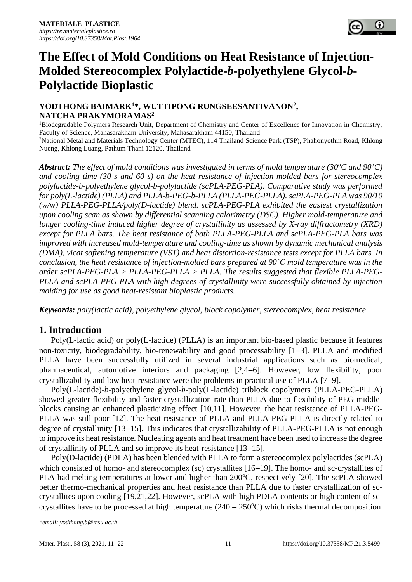

# **The Effect of Mold Conditions on Heat Resistance of Injection-Molded Stereocomplex Polylactide-***b***-polyethylene Glycol-***b***-Polylactide Bioplastic**

## **YODTHONG BAIMARK<sup>1</sup>\*, WUTTIPONG RUNGSEESANTIVANON<sup>2</sup> , NATCHA PRAKYMORAMAS<sup>2</sup>**

<sup>1</sup>Biodegradable Polymers Research Unit, Department of Chemistry and Center of Excellence for Innovation in Chemistry, Faculty of Science, Mahasarakham University, Mahasarakham 44150, Thailand <sup>2</sup>National Metal and Materials Technology Center (MTEC), 114 Thailand Science Park (TSP), Phahonyothin Road, Khlong Nueng, Khlong Luang, Pathum Thani 12120, Thailand

*Abstract: The effect of mold conditions was investigated in terms of mold temperature (30* $^{\circ}$ *C and 90* $^{\circ}$ *C) and cooling time (30 s and 60 s) on the heat resistance of injection-molded bars for stereocomplex polylactide-b-polyethylene glycol-b-polylactide (scPLA-PEG-PLA). Comparative study was performed for poly(L-lactide) (PLLA) and PLLA-b-PEG-b-PLLA (PLLA-PEG-PLLA). scPLA-PEG-PLA was 90/10 (w/w) PLLA-PEG-PLLA/poly(D-lactide) blend. scPLA-PEG-PLA exhibited the easiest crystallization upon cooling scan as shown by differential scanning calorimetry (DSC). Higher mold-temperature and longer cooling-time induced higher degree of crystallinity as assessed by X-ray diffractometry (XRD) except for PLLA bars. The heat resistance of both PLLA-PEG-PLLA and scPLA-PEG-PLA bars was improved with increased mold-temperature and cooling-time as shown by dynamic mechanical analysis (DMA), vicat softening temperature (VST) and heat distortion-resistance tests except for PLLA bars. In conclusion, the heat resistance of injection-molded bars prepared at 90˚C mold temperature was in the order scPLA-PEG-PLA > PLLA-PEG-PLLA > PLLA. The results suggested that flexible PLLA-PEG-PLLA and scPLA-PEG-PLA with high degrees of crystallinity were successfully obtained by injection molding for use as good heat-resistant bioplastic products.*

*Keywords: poly(lactic acid), polyethylene glycol, block copolymer, stereocomplex, heat resistance*

# **1. Introduction**

Poly(L-lactic acid) or poly(L-lactide) (PLLA) is an important bio-based plastic because it features non-toxicity, biodegradability, bio-renewability and good processability [1−3]. PLLA and modified PLLA have been successfully utilized in several industrial applications such as biomedical, pharmaceutical, automotive interiors and packaging [2,4−6]. However, low flexibility, poor crystallizability and low heat-resistance were the problems in practical use of PLLA [7−9].

Poly(L-lactide)-*b*-polyethylene glycol-*b*-poly(L-lactide) triblock copolymers (PLLA-PEG-PLLA) showed greater flexibility and faster crystallization-rate than PLLA due to flexibility of PEG middleblocks causing an enhanced plasticizing effect [10,11]. However, the heat resistance of PLLA-PEG-PLLA was still poor [12]. The heat resistance of PLLA and PLLA-PEG-PLLA is directly related to degree of crystallinity [13−15]. This indicates that crystallizability of PLLA-PEG-PLLA is not enough to improve its heat resistance. Nucleating agents and heat treatment have been used to increase the degree of crystallinity of PLLA and so improve its heat-resistance [13−15].

Poly(D-lactide) (PDLA) has been blended with PLLA to form a stereocomplex polylactides (scPLA) which consisted of homo- and stereocomplex (sc) crystallites [16−19]. The homo- and sc-crystallites of PLA had melting temperatures at lower and higher than 200°C, respectively [20]. The scPLA showed better thermo-mechanical properties and heat resistance than PLLA due to faster crystallization of sccrystallites upon cooling [19,21,22]. However, scPLA with high PDLA contents or high content of sccrystallites have to be processed at high temperature  $(240 - 250^{\circ}C)$  which risks thermal decomposition

*<sup>\*</sup>email: yodthong.b@msu.ac.th*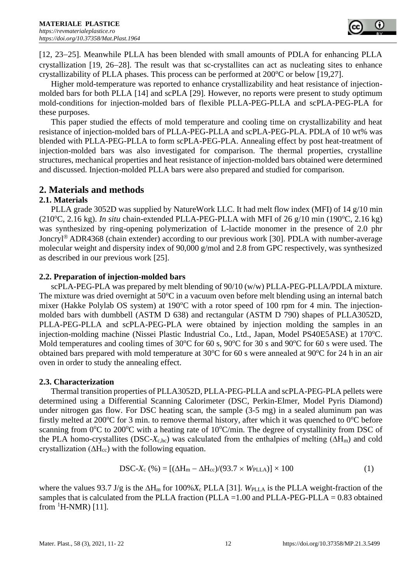[12, 23−25]. Meanwhile PLLA has been blended with small amounts of PDLA for enhancing PLLA crystallization [19, 26−28]. The result was that sc-crystallites can act as nucleating sites to enhance crystallizability of PLLA phases. This process can be performed at  $200^{\circ}$ C or below [19,27].

Higher mold-temperature was reported to enhance crystallizability and heat resistance of injectionmolded bars for both PLLA [14] and scPLA [29]. However, no reports were present to study optimum mold-conditions for injection-molded bars of flexible PLLA-PEG-PLLA and scPLA-PEG-PLA for these purposes.

This paper studied the effects of mold temperature and cooling time on crystallizability and heat resistance of injection-molded bars of PLLA-PEG-PLLA and scPLA-PEG-PLA. PDLA of 10 wt% was blended with PLLA-PEG-PLLA to form scPLA-PEG-PLA. Annealing effect by post heat-treatment of injection-molded bars was also investigated for comparison. The thermal properties, crystalline structures, mechanical properties and heat resistance of injection-molded bars obtained were determined and discussed. Injection-molded PLLA bars were also prepared and studied for comparison.

# **2. Materials and methods**

## **2.1. Materials**

PLLA grade 3052D was supplied by NatureWork LLC. It had melt flow index (MFI) of 14 g/10 min (210<sup>o</sup>C, 2.16 kg). *In situ* chain-extended PLLA-PEG-PLLA with MFI of 26 g/10 min (190<sup>o</sup>C, 2.16 kg) was synthesized by ring-opening polymerization of L-lactide monomer in the presence of 2.0 phr Joncryl<sup>®</sup> ADR4368 (chain extender) according to our previous work [30]. PDLA with number-average molecular weight and dispersity index of 90,000 g/mol and 2.8 from GPC respectively, was synthesized as described in our previous work [25].

## **2.2. Preparation of injection-molded bars**

scPLA-PEG-PLA was prepared by melt blending of 90/10 (w/w) PLLA-PEG-PLLA/PDLA mixture. The mixture was dried overnight at  $50^{\circ}$ C in a vacuum oven before melt blending using an internal batch mixer (Hakke Polylab OS system) at  $190^{\circ}$ C with a rotor speed of 100 rpm for 4 min. The injectionmolded bars with dumbbell (ASTM D 638) and rectangular (ASTM D 790) shapes of PLLA3052D, PLLA-PEG-PLLA and scPLA-PEG-PLA were obtained by injection molding the samples in an injection-molding machine (Nissei Plastic Industrial Co., Ltd., Japan, Model PS40E5ASE) at 170°C. Mold temperatures and cooling times of 30 $\degree$ C for 60 s, 90 $\degree$ C for 30 s and 90 $\degree$ C for 60 s were used. The obtained bars prepared with mold temperature at  $30^{\circ}$ C for 60 s were annealed at  $90^{\circ}$ C for 24 h in an air oven in order to study the annealing effect.

## **2.3. Characterization**

Thermal transition properties of PLLA3052D, PLLA-PEG-PLLA and scPLA-PEG-PLA pellets were determined using a Differential Scanning Calorimeter (DSC, Perkin-Elmer, Model Pyris Diamond) under nitrogen gas flow. For DSC heating scan, the sample (3-5 mg) in a sealed aluminum pan was firstly melted at 200 $\degree$ C for 3 min. to remove thermal history, after which it was quenched to  $0\degree$ C before scanning from  $0^{\circ}$ C to 200 $^{\circ}$ C with a heating rate of 10 $^{\circ}$ C/min. The degree of crystallinity from DSC of the PLA homo-crystallites (DSC-*X*c,hc) was calculated from the enthalpies of melting (∆Hm) and cold crystallization ( $\Delta H_{cc}$ ) with the following equation.

$$
DSC-Xc (%) = [(\Delta Hm - \Delta Hcc)/(93.7 \times WPLLA)] \times 100
$$
 (1)

where the values 93.7 J/g is the  $\Delta H_m$  for 100%*X<sub>c</sub>* PLLA [31]. *W*PLLA is the PLLA weight-fraction of the samples that is calculated from the PLLA fraction (PLLA =1.00 and PLLA-PEG-PLLA = 0.83 obtained from  ${}^{1}$ H-NMR) [11].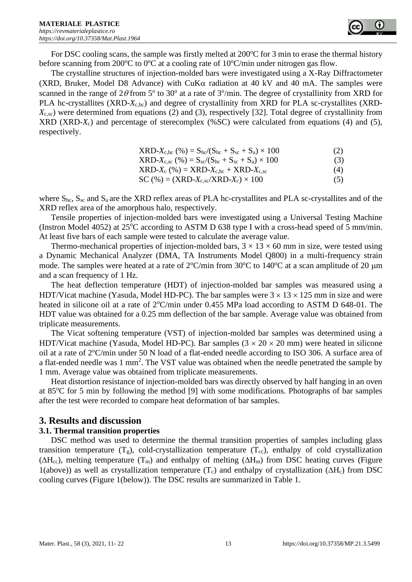For DSC cooling scans, the sample was firstly melted at  $200^{\circ}$ C for 3 min to erase the thermal history before scanning from 200 $\degree$ C to  $0\degree$ C at a cooling rate of 10 $\degree$ C/min under nitrogen gas flow.

The crystalline structures of injection-molded bars were investigated using a X-Ray Diffractometer (XRD, Bruker, Model D8 Advance) with CuK $\alpha$  radiation at 40 kV and 40 mA. The samples were scanned in the range of  $2\theta$  from 5° to 30° at a rate of 3°/min. The degree of crystallinity from XRD for PLA hc-crystallites (XRD*-X*c,hc) and degree of crystallinity from XRD for PLA sc-crystallites (XRD*-X*c,sc) were determined from equations (2) and (3), respectively [32]. Total degree of crystallinity from XRD (XRD-*X*c) and percentage of sterecomplex (%SC) were calculated from equations (4) and (5), respectively.

| $XRD-X_{c,hc}$ (%) = $S_{hc}/(S_{hc} + S_{sc} + S_a) \times 100$ | (2) |
|------------------------------------------------------------------|-----|
| $XRD-X_{c,sc}$ (%) = $S_{sc}/(S_{hc} + S_{sc} + S_a) \times 100$ | (3) |
| $XRD-X_c$ (%) = $XRD-X_{c,hc} + XRD-X_{c,sc}$                    | (4) |
| $SC$ (%) = (XRD- $X_{c,sc}$ /XRD- $X_c$ ) × 100                  | (5) |

where  $S_{hc}$ ,  $S_{sc}$  and  $S_a$  are the XRD reflex areas of PLA hc-crystallites and PLA sc-crystallites and of the XRD reflex area of the amorphous halo, respectively.

Tensile properties of injection-molded bars were investigated using a Universal Testing Machine (Instron Model 4052) at  $25^{\circ}$ C according to ASTM D 638 type I with a cross-head speed of 5 mm/min. At least five bars of each sample were tested to calculate the average value.

Thermo-mechanical properties of injection-molded bars,  $3 \times 13 \times 60$  mm in size, were tested using a Dynamic Mechanical Analyzer (DMA, TA Instruments Model Q800) in a multi-frequency strain mode. The samples were heated at a rate of  $2^{\circ}$ C/min from 30 $^{\circ}$ C to 140 $^{\circ}$ C at a scan amplitude of 20  $\mu$ m and a scan frequency of 1 Hz.

The heat deflection temperature (HDT) of injection-molded bar samples was measured using a HDT/Vicat machine (Yasuda, Model HD-PC). The bar samples were  $3 \times 13 \times 125$  mm in size and were heated in silicone oil at a rate of  $2^{\circ}$ C/min under 0.455 MPa load according to ASTM D 648-01. The HDT value was obtained for a 0.25 mm deflection of the bar sample. Average value was obtained from triplicate measurements.

The Vicat softening temperature (VST) of injection-molded bar samples was determined using a HDT/Vicat machine (Yasuda, Model HD-PC). Bar samples  $(3 \times 20 \times 20 \text{ mm})$  were heated in silicone oil at a rate of  $2^{\circ}$ C/min under 50 N load of a flat-ended needle according to ISO 306. A surface area of a flat-ended needle was 1 mm<sup>2</sup>. The VST value was obtained when the needle penetrated the sample by 1 mm. Average value was obtained from triplicate measurements.

Heat distortion resistance of injection-molded bars was directly observed by half hanging in an oven at  $85^{\circ}$ C for 5 min by following the method [9] with some modifications. Photographs of bar samples after the test were recorded to compare heat deformation of bar samples.

## **3. Results and discussion**

#### **3.1. Thermal transition properties**

DSC method was used to determine the thermal transition properties of samples including glass transition temperature  $(T_g)$ , cold-crystallization temperature  $(T_{cc})$ , enthalpy of cold crystallization ( $\Delta H_{cc}$ ), melting temperature (T<sub>m</sub>) and enthalpy of melting ( $\Delta H_m$ ) from DSC heating curves (Figure 1(above)) as well as crystallization temperature  $(T_c)$  and enthalpy of crystallization ( $\Delta H_c$ ) from DSC cooling curves (Figure 1(below)). The DSC results are summarized in Table 1.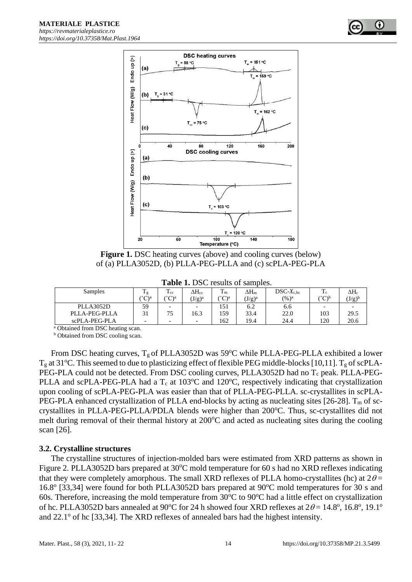



**Figure 1.** DSC heating curves (above) and cooling curves (below) of (a) PLLA3052D, (b) PLLA-PEG-PLLA and (c) scPLA-PEG-PLA

| Samples       | m<br>Ιg | m<br>$_{\rm{c}}$         | $\Delta H_{\rm cc}$      | m<br>1 m      | $\Delta H_{\rm m}$            | $DSC-X_{c,hc}$    | m<br>ΙC                  | $\Delta H_{\rm c}$            |
|---------------|---------|--------------------------|--------------------------|---------------|-------------------------------|-------------------|--------------------------|-------------------------------|
|               | ∩°∩′    | $\sqrt{\ }$ a            | $(J/g)^a$                | $\alpha$<br>◡ | $(\mathrm{J/g})^{\mathrm{a}}$ | $(\frac{9}{6})^a$ | $\sqrt{2}$<br>◡          | $(\mathrm{J/g})^{\mathrm{b}}$ |
| PLLA3052D     | 59      | $\overline{\phantom{0}}$ |                          | 151           | 6.2                           | 6.6               | $\overline{\phantom{0}}$ |                               |
| PLLA-PEG-PLLA | $\sim$  | 75                       | 16.3                     | 159           | 33.4                          | 22.0              | 103                      | 29.5                          |
| scPLA-PEG-PLA | -       | $\overline{\phantom{0}}$ | $\overline{\phantom{0}}$ | 162           | 19.4                          | 24.4              | 120                      | 20.6                          |

<sup>a</sup> Obtained from DSC heating scan.

**b** Obtained from DSC cooling scan.

From DSC heating curves,  $T_g$  of PLLA3052D was 59°C while PLLA-PEG-PLLA exhibited a lower  $T_g$  at 31<sup>o</sup>C. This seemed to due to plasticizing effect of flexible PEG middle-blocks [10,11].  $T_g$  of scPLA-PEG-PLA could not be detected. From DSC cooling curves, PLLA3052D had no  $T_c$  peak. PLLA-PEG-PLLA and scPLA-PEG-PLA had a T<sub>c</sub> at 103°C and 120°C, respectively indicating that crystallization upon cooling of scPLA-PEG-PLA was easier than that of PLLA-PEG-PLLA. sc-crystallites in scPLA-PEG-PLA enhanced crystallization of PLLA end-blocks by acting as nucleating sites [26-28].  $T_m$  of sccrystallites in PLLA-PEG-PLLA/PDLA blends were higher than 200°C. Thus, sc-crystallites did not melt during removal of their thermal history at  $200^{\circ}$ C and acted as nucleating sites during the cooling scan [26].

#### **3.2. Crystalline structures**

The crystalline structures of injection-molded bars were estimated from XRD patterns as shown in Figure 2. PLLA3052D bars prepared at  $30^{\circ}$ C mold temperature for 60 s had no XRD reflexes indicating that they were completely amorphous. The small XRD reflexes of PLLA homo-crystallites (hc) at  $2\theta =$ 16.8° [33,34] were found for both PLLA3052D bars prepared at 90°C mold temperatures for 30 s and 60s. Therefore, increasing the mold temperature from  $30^{\circ}$ C to  $90^{\circ}$ C had a little effect on crystallization of hc. PLLA3052D bars annealed at 90°C for 24 h showed four XRD reflexes at  $2\theta = 14.8^\circ$ , 16.8°, 19.1° and 22.1° of hc [33,34]. The XRD reflexes of annealed bars had the highest intensity.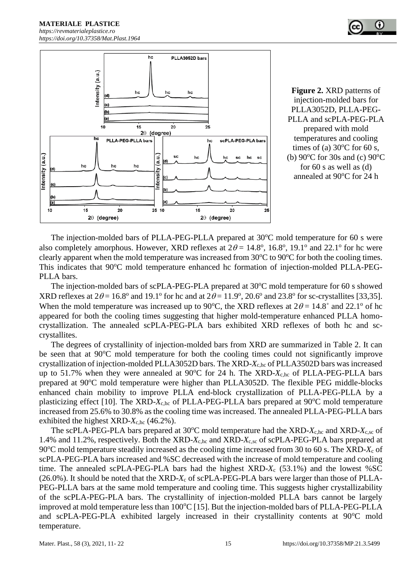

**Figure 2.** XRD patterns of injection-molded bars for PLLA3052D, PLLA-PEG-PLLA and scPLA-PEG-PLA prepared with mold temperatures and cooling times of (a)  $30^{\circ}$ C for 60 s, (b)  $90^{\circ}$ C for 30s and (c)  $90^{\circ}$ C for 60 s as well as (d) annealed at 90°C for 24 h

The injection-molded bars of PLLA-PEG-PLLA prepared at  $30^{\circ}$ C mold temperature for 60 s were also completely amorphous. However, XRD reflexes at  $2\theta = 14.8^{\circ}$ , 16.8°, 19.1° and 22.1° for hc were clearly apparent when the mold temperature was increased from  $30^{\circ}$ C to  $90^{\circ}$ C for both the cooling times. This indicates that 90°C mold temperature enhanced hc formation of injection-molded PLLA-PEG-PLLA bars.

The injection-molded bars of scPLA-PEG-PLA prepared at  $30^{\circ}$ C mold temperature for 60 s showed XRD reflexes at  $2\theta = 16.8^\circ$  and  $19.1^\circ$  for hc and at  $2\theta = 11.9^\circ$ ,  $20.6^\circ$  and  $23.8^\circ$  for sc-crystallites [33,35]. When the mold temperature was increased up to 90°C, the XRD reflexes at  $2\theta = 14.8$ ° and 22.1° of hc appeared for both the cooling times suggesting that higher mold-temperature enhanced PLLA homocrystallization. The annealed scPLA-PEG-PLA bars exhibited XRD reflexes of both hc and sccrystallites.

The degrees of crystallinity of injection-molded bars from XRD are summarized in Table 2. It can be seen that at  $90^{\circ}$ C mold temperature for both the cooling times could not significantly improve crystallization of injection-molded PLLA3052D bars. The XRD-*X*c,hc of PLLA3502D bars was increased up to 51.7% when they were annealed at  $90^{\circ}$ C for 24 h. The XRD- $X_{c,hc}$  of PLLA-PEG-PLLA bars prepared at 90<sup>o</sup>C mold temperature were higher than PLLA3052D. The flexible PEG middle-blocks enhanced chain mobility to improve PLLA end-block crystallization of PLLA-PEG-PLLA by a plasticizing effect [10]. The XRD-X<sub>c,hc</sub> of PLLA-PEG-PLLA bars prepared at 90°C mold temperature increased from 25.6% to 30.8% as the cooling time was increased. The annealed PLLA-PEG-PLLA bars exhibited the highest  $XRD-X<sub>c,hc</sub>$  (46.2%).

The scPLA-PEG-PLA bars prepared at 30°C mold temperature had the XRD-*X<sub>c,hc</sub>* and XRD-*X<sub>c,sc</sub>* of 1.4% and 11.2%, respectively. Both the XRD-*X*c,hc and XRD-*X*c,sc of scPLA-PEG-PLA bars prepared at 90<sup>o</sup>C mold temperature steadily increased as the cooling time increased from 30 to 60 s. The XRD- $X_c$  of scPLA-PEG-PLA bars increased and %SC decreased with the increase of mold temperature and cooling time. The annealed scPLA-PEG-PLA bars had the highest XRD-*X*<sup>c</sup> (53.1%) and the lowest %SC (26.0%). It should be noted that the XRD-*X*<sup>c</sup> of scPLA-PEG-PLA bars were larger than those of PLLA-PEG-PLLA bars at the same mold temperature and cooling time. This suggests higher crystallizability of the scPLA-PEG-PLA bars. The crystallinity of injection-molded PLLA bars cannot be largely improved at mold temperature less than  $100^{\circ}$ C [15]. But the injection-molded bars of PLLA-PEG-PLLA and scPLA-PEG-PLA exhibited largely increased in their crystallinity contents at 90°C mold temperature.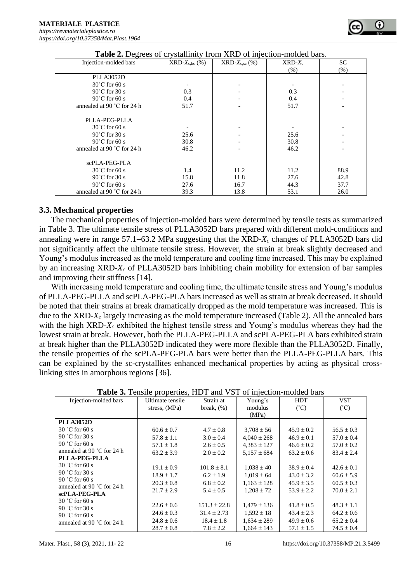| Injection-molded bars        | $XRD-X_{c,hc}$ (%) | $XRD-X_{c,sc}$ (%) | $XRD-Xc$ | <b>SC</b> |
|------------------------------|--------------------|--------------------|----------|-----------|
|                              |                    |                    | (% )     | (% )      |
| PLLA3052D                    |                    |                    |          |           |
| $30^{\circ}$ C for 60 s      |                    |                    |          |           |
| $90^{\circ}$ C for 30 s      | 0.3                |                    | 0.3      |           |
| $90^{\circ}$ C for 60 s      | 0.4                |                    | 0.4      |           |
| annealed at 90 $°C$ for 24 h | 51.7               |                    | 51.7     |           |
|                              |                    |                    |          |           |
| PLLA-PEG-PLLA                |                    |                    |          |           |
| $30^{\circ}$ C for 60 s      |                    |                    |          |           |
| $90^{\circ}$ C for 30 s      | 25.6               |                    | 25.6     |           |
| $90^{\circ}$ C for 60 s      | 30.8               |                    | 30.8     |           |
| annealed at 90 $°C$ for 24 h | 46.2               |                    | 46.2     |           |
|                              |                    |                    |          |           |
| scPLA-PEG-PLA                |                    |                    |          |           |
| $30^{\circ}$ C for 60 s      | 1.4                | 11.2               | 11.2     | 88.9      |
| $90^{\circ}$ C for 30 s      | 15.8               | 11.8               | 27.6     | 42.8      |
| $90^{\circ}$ C for 60 s      | 27.6               | 16.7               | 44.3     | 37.7      |
| annealed at 90 °C for 24 h   | 39.3               | 13.8               | 53.1     | 26.0      |

#### **3.3. Mechanical properties**

The mechanical properties of injection-molded bars were determined by tensile tests as summarized in Table 3. The ultimate tensile stress of PLLA3052D bars prepared with different mold-conditions and annealing were in range 57.1−63.2 MPa suggesting that the XRD-*X<sup>c</sup>* changes of PLLA3052D bars did not significantly affect the ultimate tensile stress. However, the strain at break slightly decreased and Young's modulus increased as the mold temperature and cooling time increased. This may be explained by an increasing XRD-*X<sup>c</sup>* of PLLA3052D bars inhibiting chain mobility for extension of bar samples and improving their stiffness [14].

With increasing mold temperature and cooling time, the ultimate tensile stress and Young's modulus of PLLA-PEG-PLLA and scPLA-PEG-PLA bars increased as well as strain at break decreased. It should be noted that their strains at break dramatically dropped as the mold temperature was increased. This is due to the XRD-*X<sup>c</sup>* largely increasing as the mold temperature increased (Table 2). All the annealed bars with the high XRD-*X<sup>c</sup>* exhibited the highest tensile stress and Young's modulus whereas they had the lowest strain at break. However, both the PLLA-PEG-PLLA and scPLA-PEG-PLA bars exhibited strain at break higher than the PLLA3052D indicated they were more flexible than the PLLA3052D. Finally, the tensile properties of the scPLA-PEG-PLA bars were better than the PLLA-PEG-PLLA bars. This can be explained by the sc-crystallites enhanced mechanical properties by acting as physical crosslinking sites in amorphous regions [36].

| Injection-molded bars                | Ultimate tensile | Strain at        | Young's         | <b>HDT</b>     | <b>VST</b>     |
|--------------------------------------|------------------|------------------|-----------------|----------------|----------------|
|                                      | stress, (MPa)    | break, $(\%)$    | modulus         | $(^{\circ}C)$  | $(^{\circ}C)$  |
|                                      |                  |                  | (MPa)           |                |                |
| <b>PLLA3052D</b>                     |                  |                  |                 |                |                |
| $30^{\circ}$ C for 60 s              | $60.6 \pm 0.7$   | $4.7 \pm 0.8$    | $3,708 \pm 56$  | $45.9 \pm 0.2$ | $56.5 \pm 0.3$ |
| 90 °C for 30 s                       | $57.8 \pm 1.1$   | $3.0 \pm 0.4$    | $4,040 \pm 268$ | $46.9 \pm 0.1$ | $57.0 \pm 0.4$ |
| 90 °C for 60 s                       | $57.1 \pm 1.8$   | $2.6 \pm 0.5$    | $4,383 \pm 127$ | $46.6 \pm 0.2$ | $57.0 \pm 0.2$ |
| annealed at 90 $^{\circ}$ C for 24 h | $63.2 \pm 3.9$   | $2.0 \pm 0.2$    | $5.157 \pm 684$ | $63.2 \pm 0.6$ | $83.4 \pm 2.4$ |
| PLLA-PEG-PLLA                        |                  |                  |                 |                |                |
| $30 °C$ for 60 s                     | $19.1 \pm 0.9$   | $101.8 \pm 8.1$  | $1,038 \pm 40$  | $38.9 \pm 0.4$ | $42.6 \pm 0.1$ |
| 90 °C for 30 s                       | $18.9 \pm 1.7$   | $6.2 \pm 1.9$    | $1,019 \pm 64$  | $43.0 \pm 3.2$ | $60.6 \pm 5.9$ |
| 90 °C for 60 s                       | $20.3 \pm 0.8$   | $6.8 \pm 0.2$    | $1,163 \pm 128$ | $45.9 \pm 3.5$ | $60.5 \pm 0.3$ |
| annealed at 90 $^{\circ}$ C for 24 h | $21.7 \pm 2.9$   | $5.4 \pm 0.5$    | $1.208 \pm 72$  | $53.9 \pm 2.2$ | $70.0 \pm 2.1$ |
| scPLA-PEG-PLA                        |                  |                  |                 |                |                |
| $30 °C$ for 60 s<br>90 °C for 30 s   | $22.6 \pm 0.6$   | $151.3 \pm 22.8$ | $1,479 \pm 136$ | $41.8 \pm 0.5$ | $48.3 \pm 1.1$ |
| 90 °C for 60 s                       | $24.6 \pm 0.3$   | $31.4 \pm 2.73$  | $1,592 \pm 18$  | $43.4 \pm 2.3$ | $64.2 \pm 0.6$ |
| annealed at 90 °C for 24 h           | $24.8 \pm 0.6$   | $18.4 \pm 1.8$   | $1,634 \pm 289$ | $49.9 \pm 0.6$ | $65.2 \pm 0.4$ |
|                                      | $28.7 \pm 0.8$   | $7.8 \pm 2.2$    | $1,664 \pm 143$ | $57.1 \pm 1.5$ | $74.5 \pm 0.4$ |

**Table 3.** Tensile properties, HDT and VST of injection-molded bars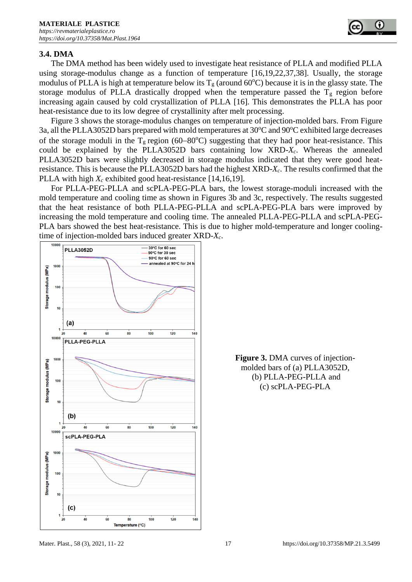#### **3.4. DMA**

The DMA method has been widely used to investigate heat resistance of PLLA and modified PLLA using storage-modulus change as a function of temperature [16,19,22,37,38]. Usually, the storage modulus of PLLA is high at temperature below its  $T_g$  (around 60°C) because it is in the glassy state. The storage modulus of PLLA drastically dropped when the temperature passed the  $T_g$  region before increasing again caused by cold crystallization of PLLA [16]. This demonstrates the PLLA has poor heat-resistance due to its low degree of crystallinity after melt processing.

Figure 3 shows the storage-modulus changes on temperature of injection-molded bars. From Figure 3a, all the PLLA3052D bars prepared with mold temperatures at 30°C and 90°C exhibited large decreases of the storage moduli in the T<sub>g</sub> region (60–80<sup>o</sup>C) suggesting that they had poor heat-resistance. This could be explained by the PLLA3052D bars containing low XRD-*Xc*. Whereas the annealed PLLA3052D bars were slightly decreased in storage modulus indicated that they were good heatresistance. This is because the PLLA3052D bars had the highest XRD-*Xc*. The results confirmed that the PLLA with high *X<sup>c</sup>* exhibited good heat-resistance [14,16,19].

For PLLA-PEG-PLLA and scPLA-PEG-PLA bars, the lowest storage-moduli increased with the mold temperature and cooling time as shown in Figures 3b and 3c, respectively. The results suggested that the heat resistance of both PLLA-PEG-PLLA and scPLA-PEG-PLA bars were improved by increasing the mold temperature and cooling time. The annealed PLLA-PEG-PLLA and scPLA-PEG-PLA bars showed the best heat-resistance. This is due to higher mold-temperature and longer coolingtime of injection-molded bars induced greater XRD*-Xc*.



**Figure 3.** DMA curves of injectionmolded bars of (a) PLLA3052D, (b) PLLA-PEG-PLLA and (c) scPLA-PEG-PLA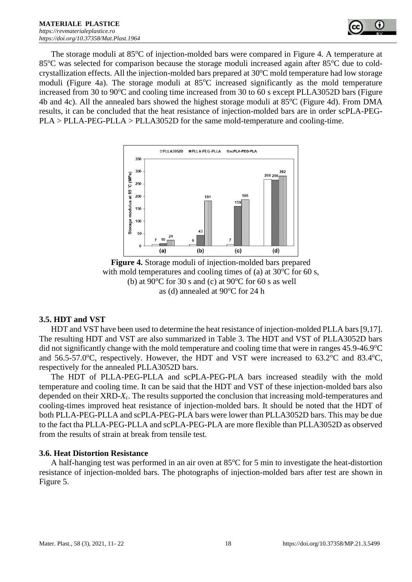

The storage moduli at  $85^{\circ}$ C of injection-molded bars were compared in Figure 4. A temperature at 85<sup>o</sup>C was selected for comparison because the storage moduli increased again after 85<sup>o</sup>C due to coldcrystallization effects. All the injection-molded bars prepared at  $30^{\circ}$ C mold temperature had low storage moduli (Figure 4a). The storage moduli at  $85^{\circ}$ C increased significantly as the mold temperature increased from 30 to 90 $\degree$ C and cooling time increased from 30 to 60 s except PLLA3052D bars (Figure 4b and 4c). All the annealed bars showed the highest storage moduli at  $85^{\circ}$ C (Figure 4d). From DMA results, it can be concluded that the heat resistance of injection-molded bars are in order scPLA-PEG-PLA > PLLA-PEG-PLLA > PLLA3052D for the same mold-temperature and cooling-time.



**Figure 4.** Storage moduli of injection-molded bars prepared with mold temperatures and cooling times of (a) at  $30^{\circ}$ C for 60 s, (b) at 90 $\degree$ C for 30 s and (c) at 90 $\degree$ C for 60 s as well as (d) annealed at  $90^{\circ}$ C for 24 h

#### **3.5. HDT and VST**

HDT and VST have been used to determine the heat resistance of injection-molded PLLA bars [9,17]. The resulting HDT and VST are also summarized in Table 3. The HDT and VST of PLLA3052D bars did not significantly change with the mold temperature and cooling time that were in ranges  $45.9$ - $46.9^{\circ}$ C and 56.5-57.0 $^{\circ}$ C, respectively. However, the HDT and VST were increased to 63.2 $^{\circ}$ C and 83.4 $^{\circ}$ C, respectively for the annealed PLLA3052D bars.

The HDT of PLLA-PEG-PLLA and scPLA-PEG-PLA bars increased steadily with the mold temperature and cooling time. It can be said that the HDT and VST of these injection-molded bars also depended on their XRD-*X*c. The results supported the conclusion that increasing mold-temperatures and cooling-times improved heat resistance of injection-molded bars. It should be noted that the HDT of both PLLA-PEG-PLLA and scPLA-PEG-PLA bars were lower than PLLA3052D bars. This may be due to the fact tha PLLA-PEG-PLLA and scPLA-PEG-PLA are more flexible than PLLA3052D as observed from the results of strain at break from tensile test.

## **3.6. Heat Distortion Resistance**

A half-hanging test was performed in an air oven at  $85^{\circ}$ C for 5 min to investigate the heat-distortion resistance of injection-molded bars. The photographs of injection-molded bars after test are shown in Figure 5.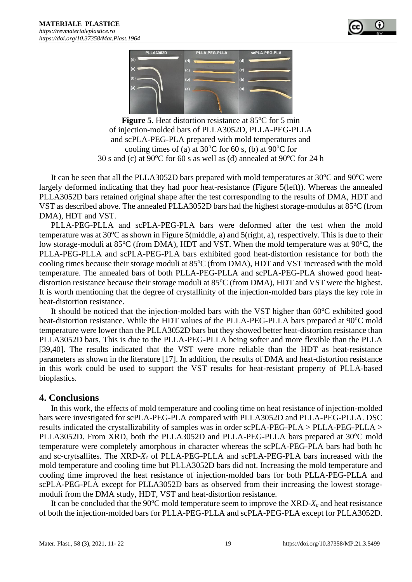



**Figure 5.** Heat distortion resistance at 85<sup>o</sup>C for 5 min of injection-molded bars of PLLA3052D, PLLA-PEG-PLLA and scPLA-PEG-PLA prepared with mold temperatures and cooling times of (a) at  $30^{\circ}$ C for 60 s, (b) at  $90^{\circ}$ C for 30 s and (c) at 90 $^{\circ}$ C for 60 s as well as (d) annealed at 90 $^{\circ}$ C for 24 h

It can be seen that all the PLLA3052D bars prepared with mold temperatures at  $30^{\circ}$ C and  $90^{\circ}$ C were largely deformed indicating that they had poor heat-resistance (Figure 5(left)). Whereas the annealed PLLA3052D bars retained original shape after the test corresponding to the results of DMA, HDT and VST as described above. The annealed PLLA3052D bars had the highest storage-modulus at  $85^{\circ}$ C (from DMA), HDT and VST.

PLLA-PEG-PLLA and scPLA-PEG-PLA bars were deformed after the test when the mold temperature was at  $30^{\circ}$ C as shown in Figure 5(middle, a) and 5(right, a), respectively. This is due to their low storage-moduli at  $85^{\circ}$ C (from DMA), HDT and VST. When the mold temperature was at 90 $^{\circ}$ C, the PLLA-PEG-PLLA and scPLA-PEG-PLA bars exhibited good heat-distortion resistance for both the cooling times because their storage moduli at 85<sup>o</sup>C (from DMA), HDT and VST increased with the mold temperature. The annealed bars of both PLLA-PEG-PLLA and scPLA-PEG-PLA showed good heatdistortion resistance because their storage moduli at 85°C (from DMA), HDT and VST were the highest. It is worth mentioning that the degree of crystallinity of the injection-molded bars plays the key role in heat-distortion resistance.

It should be noticed that the injection-molded bars with the VST higher than  $60^{\circ}$ C exhibited good heat-distortion resistance. While the HDT values of the PLLA-PEG-PLLA bars prepared at 90°C mold temperature were lower than the PLLA3052D bars but they showed better heat-distortion resistance than PLLA3052D bars. This is due to the PLLA-PEG-PLLA being softer and more flexible than the PLLA [39,40]. The results indicated that the VST were more reliable than the HDT as heat-resistance parameters as shown in the literature [17]. In addition, the results of DMA and heat-distortion resistance in this work could be used to support the VST results for heat-resistant property of PLLA-based bioplastics.

## **4. Conclusions**

In this work, the effects of mold temperature and cooling time on heat resistance of injection-molded bars were investigated for scPLA-PEG-PLA compared with PLLA3052D and PLLA-PEG-PLLA. DSC results indicated the crystallizability of samples was in order scPLA-PEG-PLA > PLLA-PEG-PLLA > PLLA3052D. From XRD, both the PLLA3052D and PLLA-PEG-PLLA bars prepared at 30°C mold temperature were completely amorphous in character whereas the scPLA-PEG-PLA bars had both hc and sc-crytsallites. The XRD-*X<sup>c</sup>* of PLLA-PEG-PLLA and scPLA-PEG-PLA bars increased with the mold temperature and cooling time but PLLA3052D bars did not. Increasing the mold temperature and cooling time improved the heat resistance of injection-molded bars for both PLLA-PEG-PLLA and scPLA-PEG-PLA except for PLLA3052D bars as observed from their increasing the lowest storagemoduli from the DMA study, HDT, VST and heat-distortion resistance.

It can be concluded that the 90 $\degree$ C mold temperature seem to improve the XRD- $X_c$  and heat resistance of both the injection-molded bars for PLLA-PEG-PLLA and scPLA-PEG-PLA except for PLLA3052D.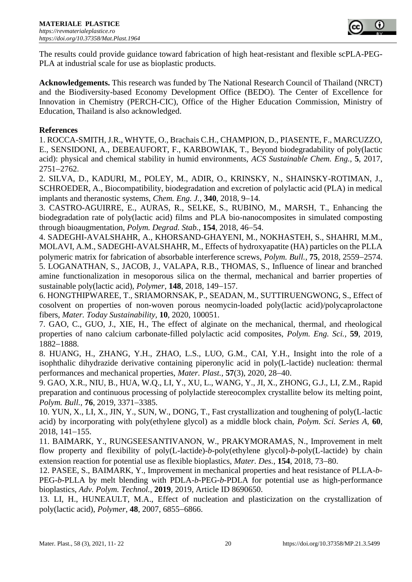

The results could provide guidance toward fabrication of high heat-resistant and flexible scPLA-PEG-PLA at industrial scale for use as bioplastic products.

**Acknowledgements.** This research was funded by The National Research Council of Thailand (NRCT) and the Biodiversity-based Economy Development Office (BEDO). The Center of Excellence for Innovation in Chemistry (PERCH-CIC), Office of the Higher Education Commission, Ministry of Education, Thailand is also acknowledged.

### **References**

1. ROCCA-SMITH, J.R., WHYTE, O., Brachais C.H., CHAMPION, D., PIASENTE, F., MARCUZZO, E., SENSIDONI, A., DEBEAUFORT, F., KARBOWIAK, T., Beyond biodegradability of poly(lactic acid): physical and chemical stability in humid environments, *ACS Sustainable Chem. Eng.,* **5**, 2017, 2751−2762.

2. SILVA, D., KADURI, M., POLEY, M., ADIR, O., KRINSKY, N., SHAINSKY-ROTIMAN, J., SCHROEDER, A., Biocompatibility, biodegradation and excretion of polylactic acid (PLA) in medical implants and theranostic systems, *Chem. Eng. J.*, **340**, 2018, 9−14.

3. CASTRO-AGUIRRE, E., AURAS, R., SELKE, S., RUBINO, M., MARSH, T., Enhancing the biodegradation rate of poly(lactic acid) films and PLA bio-nanocomposites in simulated composting through bioaugmentation, *Polym. Degrad. Stab.*, **154**, 2018, 46−54.

4. SADEGHI-AVALSHAHR, A., KHORSAND-GHAYENI, M., NOKHASTEH, S., SHAHRI, M.M., MOLAVI, A.M., SADEGHI-AVALSHAHR, M., Effects of hydroxyapatite (HA) particles on the PLLA polymeric matrix for fabrication of absorbable interference screws, *Polym. Bull.*, **75**, 2018, 2559−2574. 5. LOGANATHAN, S., JACOB, J., VALAPA, R.B., THOMAS, S., Influence of linear and branched amine functionalization in mesoporous silica on the thermal, mechanical and barrier properties of sustainable poly(lactic acid), *Polymer*, **148**, 2018, 149−157.

6. HONGTHIPWAREE, T., SRIAMORNSAK, P., SEADAN, M., SUTTIRUENGWONG, S., Effect of cosolvent on properties of non-woven porous neomycin-loaded poly(lactic acid)/polycaprolactone fibers, *Mater. Today Sustainability*, **10**, 2020, 100051.

7. GAO, C., GUO, J., XIE, H., The effect of alginate on the mechanical, thermal, and rheological properties of nano calcium carbonate-filled polylactic acid composites, *Polym. Eng. Sci.,* **59**, 2019, 1882−1888.

8. HUANG, H., ZHANG, Y.H., ZHAO, L.S., LUO, G.M., CAI, Y.H., Insight into the role of a isophthalic dihydrazide derivative containing piperonylic acid in poly(L-lactide) nucleation: thermal performances and mechanical properties, *Mater. Plast.,* **57**(3), 2020, 28−40.

9. GAO, X.R., NIU, B., HUA, W.Q., LI, Y., XU, L., WANG, Y., JI, X., ZHONG, G.J., LI, Z.M., Rapid preparation and continuous processing of polylactide stereocomplex crystallite below its melting point, *Polym. Bull.,* **76**, 2019, 3371−3385.

10. YUN, X., LI, X., JIN, Y., SUN, W., DONG, T., Fast crystallization and toughening of poly(L-lactic acid) by incorporating with poly(ethylene glycol) as a middle block chain, *Polym. Sci. Series A,* **60**, 2018, 141−155.

11. BAIMARK, Y., RUNGSEESANTIVANON, W., PRAKYMORAMAS, N., Improvement in melt flow property and flexibility of poly(L-lactide)-*b*-poly(ethylene glycol)-*b*-poly(L-lactide) by chain extension reaction for potential use as flexible bioplastics, *Mater. Des.*, **154**, 2018, 73−80.

12. PASEE, S., BAIMARK, Y., Improvement in mechanical properties and heat resistance of PLLA-*b*-PEG-*b*-PLLA by melt blending with PDLA-*b*-PEG-*b*-PDLA for potential use as high-performance bioplastics, *Adv. Polym. Technol.*, **2019**, 2019, Article ID 8690650.

13. LI, H., HUNEAULT, M.A., Effect of nucleation and plasticization on the crystallization of poly(lactic acid), *Polymer*, **48**, 2007, 6855−6866.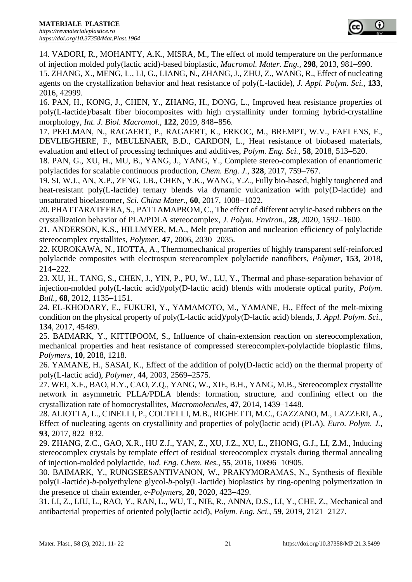14. VADORI, R., MOHANTY, A.K., MISRA, M., The effect of mold temperature on the performance of injection molded poly(lactic acid)-based bioplastic, *Macromol. Mater. Eng.,* **298**, 2013, 981−990.

15. ZHANG, X., MENG, L., LI, G., LIANG, N., ZHANG, J., ZHU, Z., WANG, R., Effect of nucleating agents on the crystallization behavior and heat resistance of poly(L-lactide), *J. Appl. Polym. Sci.*, **133**, 2016, 42999.

16. PAN, H., KONG, J., CHEN, Y., ZHANG, H., DONG, L., Improved heat resistance properties of poly(L-lactide)/basalt fiber biocomposites with high crystallinity under forming hybrid-crystalline morphology, *Int. J. Biol. Macromol.*, **122**, 2019, 848−856.

17. PEELMAN, N., RAGAERT, P., RAGAERT, K., ERKOC, M., BREMPT, W.V., FAELENS, F., DEVLIEGHERE, F., MEULENAER, B.D., CARDON, L., Heat resistance of biobased materials, evaluation and effect of processing techniques and additives, *Polym. Eng. Sci.*, **58**, 2018, 513−520.

18. PAN, G., XU, H., MU, B., YANG, J., YANG, Y., Complete stereo-complexation of enantiomeric polylactides for scalable continuous production, *Chem. Eng. J.*, **328**, 2017, 759−767.

19. SI, W.J., AN, X.P., ZENG, J.B., CHEN, Y.K., WANG, Y.Z., Fully bio-based, highly toughened and heat-resistant poly(L-lactide) ternary blends via dynamic vulcanization with poly(D-lactide) and unsaturated bioelastomer, *Sci. China Mater.*, **60**, 2017, 1008−1022.

20. PHATTARATEERA, S., PATTAMAPROM, C., The effect of different acrylic-based rubbers on the crystallization behavior of PLA/PDLA stereocomplex, *J. Polym. Environ.*, **28**, 2020, 1592−1600.

21. ANDERSON, K.S., HILLMYER, M.A., Melt preparation and nucleation efficiency of polylactide stereocomplex crystallites, *Polymer*, **47**, 2006, 2030−2035.

22. KUROKAWA, N., HOTTA, A., Thermomechanical properties of highly transparent self-reinforced polylactide composites with electrospun stereocomplex polylactide nanofibers, *Polymer*, **153**, 2018, 214−222.

23. XU, H., TANG, S., CHEN, J., YIN, P., PU, W., LU, Y., Thermal and phase-separation behavior of injection-molded poly(L-lactic acid)/poly(D-lactic acid) blends with moderate optical purity, *Polym. Bull.,* **68**, 2012, 1135−1151.

24. EL-KHODARY, E., FUKURI, Y., YAMAMOTO, M., YAMANE, H., Effect of the melt-mixing condition on the physical property of poly(L-lactic acid)/poly(D-lactic acid) blends, J*. Appl. Polym. Sci.*, **134**, 2017, 45489.

25. BAIMARK, Y., KITTIPOOM, S., Influence of chain-extension reaction on stereocomplexation, mechanical properties and heat resistance of compressed stereocomplex-polylactide bioplastic films, *Polymers*, **10**, 2018, 1218.

26. YAMANE, H., SASAI, K., Effect of the addition of poly(D-lactic acid) on the thermal property of poly(L-lactic acid), *Polymer*, **44**, 2003, 2569−2575.

27. WEI, X.F., BAO, R.Y., CAO, Z.Q., YANG, W., XIE, B.H., YANG, M.B., Stereocomplex crystallite network in asymmetric PLLA/PDLA blends: formation, structure, and confining effect on the crystallization rate of homocrystallites, *Macromolecules*, **47**, 2014, 1439−1448.

28. ALIOTTA, L., CINELLI, P., COLTELLI, M.B., RIGHETTI, M.C., GAZZANO, M., LAZZERI, A., Effect of nucleating agents on crystallinity and properties of poly(lactic acid) (PLA), *Euro. Polym. J.,* **93**, 2017, 822−832.

29. ZHANG, Z.C., GAO, X.R., HU Z.J., YAN, Z., XU, J.Z., XU, L., ZHONG, G.J., LI, Z.M., Inducing stereocomplex crystals by template effect of residual stereocomplex crystals during thermal annealing of injection-molded polylactide, *Ind. Eng. Chem. Res.,* **55**, 2016, 10896−10905.

30. BAIMARK, Y., RUNGSEESANTIVANON, W., PRAKYMORAMAS, N., Synthesis of flexible poly(L-lactide)-*b*-polyethylene glycol-*b*-poly(L-lactide) bioplastics by ring-opening polymerization in the presence of chain extender, *e-Polymers*, **20**, 2020, 423−429.

31. LI, Z., LIU, L., RAO, Y., RAN, L., WU, T., NIE, R., ANNA, D.S., LI, Y., CHE, Z., Mechanical and antibacterial properties of oriented poly(lactic acid), *Polym. Eng. Sci.,* **59**, 2019, 2121−2127.